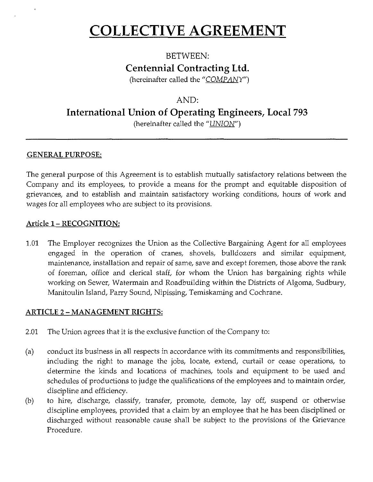# **COLLECTIVE AGREEMENT**

## BETWEEN: **Centennial Contracting Ltd.**

(hereinafter called the "COMPANY")

## AND:

**International Union of Operating Engineers, Local 793** 

(hereinafter called the "UNION")

## **GENERAL PURPOSE:**

The general purpose of this Agreement is to establish mutually satisfactory relations between the Company and its employees, to provide a means for the prompt and equitable disposition of grievances, and to establish and maintain satisfactory working conditions, hours of work and wages for all employees who are subject to its provisions.

## Article **1- RECOGNITION:**

1.01 The Employer recognizes the Union as the Collective Bargaining Agent for all employees engaged in the operation of cranes, shovels, bulldozers and similar equipment, maintenance, installation and repair of same, save and except foremen, those above the rank of foreman, office and clerical staff, for whom the Union has bargaining rights while working on Sewer, Watermain and Roadbuilding within the Districts of Algoma, Sudbury, Manitoulin Island, Parry Sound, Nipissing, Temiskaming and Cochrane.

## **ARTICLE 2 - MANAGEMENT RIGHTS:**

- 2.01 The Union agrees that it is the exclusive function of the Company to:
- (a) conduct its business in all respects in accordance with its commitments and responsibilities, including the right to manage the jobs, locate, extend, curtail or cease operations, to determine the kinds and locations of machines, tools and equipment to be used and schedules of productions to judge the qualifications of the employees and to maintain order, discipline and efficiency.
- (b) to hire, discharge, classify, transfer, promote, demote, lay off, suspend or otherwise discipline employees, provided that a claim by an employee that he has been disciplined or discharged without reasonable cause shall be subject to the provisions of the Grievance Procedure.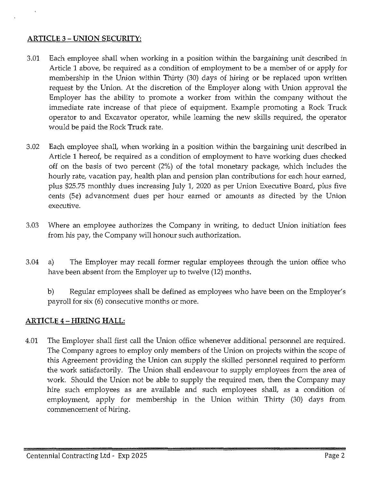#### **ARTICLE** 3 - **UNION SECURITY:**

- 3.01 Each employee shall when working in a position within the bargaining unit described in Article 1 above, be required as a condition of employment to be a member of or apply for membership in the Union within Thirty (30) days of hiring or be replaced upon written request by the Union. At the discretion of the Employer along with Union approval the Employer has the ability to promote a worker from within the company without the immediate rate increase of that piece of equipment. Example promoting a Rock Truck operator to and Excavator operator, while learning the new skills required, the operator would be paid the Rock Truck rate.
- 3.02 Each employee shall, when working in a position within the bargaining unit described in Article 1 hereof, be required as a condition of employment to have working dues checked off on the basis of two percent (2%) of the total monetary package, which includes the hourly rate, vacation pay, health plan and pension plan contributions for each hour earned, plus \$25.75 monthly dues increasing July 1, 2020 as per Union Executive Board, plus five cents (5¢) advancement dues per hour earned or amounts as directed by the Union executive.
- 3.03 Where an employee authorizes the Company in writing, to deduct Union initiation fees from his pay, the Company will honour such authorization.
- 3.04 a) The Employer may recall former regular employees through the union office who have been absent from the Employer up to twelve (12) months.
	- b) Regular employees shall be defined as employees who have been on the Employer's payroll for six (6) consecutive months or more.

## **ARTICLE 4-HIRING HALL:**

4.01 The Employer shall first call the Union office whenever additional personnel are required. The Company agrees to employ only members of the Union on projects within the scope of this Agreement providing the Union can supply the skilled personnel required to perform the work satisfactorily. The Union shall endeavour to supply employees from the area of work. Should the Union not be able to supply the required men, then the Company may hire such employees as are available and such employees shall, as a condition of employment, apply for membership in the Union within Thirty (30) days from commencement of hiring.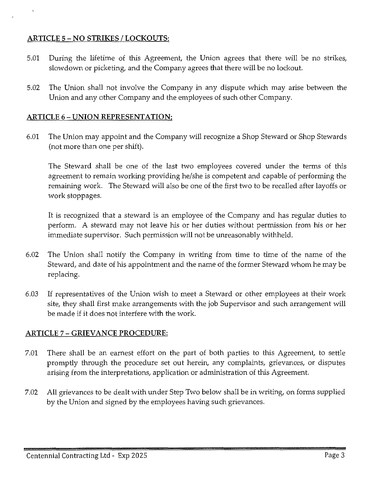### **ARTICLE** 5 - **NO STRIKES I LOCKOUTS:**

- 5.01 During the lifetime of this Agreement, the Union agrees that there will be no strikes, slowdown or picketing, and the Company agrees that there will be no lockout.
- 5.02 The Union shall not involve the Company in any dispute which may arise between the Union and any other Company and the employees of such other Company.

#### **ARTICLE 6- UNION REPRESENTATION:**

6.01 The Union may appoint and the Company will recognize a Shop Steward or Shop Stewards (not more than one per shift).

The Steward shall be one of the last two employees covered under the terms of this agreement to remain working providing he/she is competent and capable of performing the remaining work. The Steward will also be one of the first two to be recalled after layoffs or work stoppages.

It is recognized that a steward is an employee of the Company and has regular duties to perform. A steward may not leave his or her duties without permission from his or her immediate supervisor. Such permission will not be unreasonably withheld.

- 6.02 The Union shall notify the Company in writing from time to time of the name of the Steward, and date of his appointment and the name of the former Steward whom he may be replacing.
- 6.03 If representatives of the Union wish to meet a Steward or other employees at their work site, they shall first make arrangements with the job Supervisor and such arrangement will be made if it does not interfere with the work.

## **ARTICLE** 7 - **GRIEVANCE PROCEDURE:**

- 7.01 There shall be an earnest effort on the part of both parties to this Agreement, to settle promptly through the procedure set out herein, any complaints, grievances, or disputes arising from the interpretations, application or administration of this Agreement.
- 7.02 All grievances to be dealt with under Step Two below shall be in writing, on forms supplied by the Union and signed by the employees having such grievances.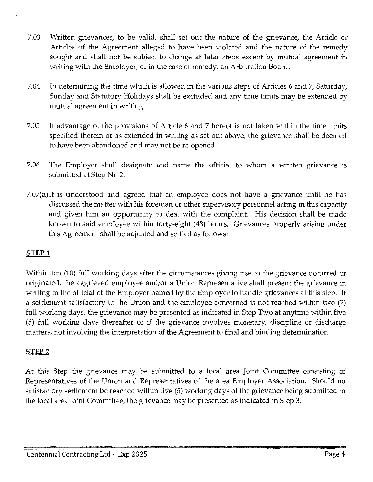- 7.03 Written grievances, to be valid, shall set out the nature of the grievance, the Article or Articles of the Agreement alleged to have been violated and the nature of the remedy sought and shall not be subject to change at later steps except by mutual agreement in writing with the Employer, or in the case of remedy, an Arbitration Board.
- 7.04 In determining the time which is allowed in the various steps of Articles 6 and 7, Saturday, Sunday and Statutory Holidays shall be excluded and any time limits may be extended by mutual agreement in writing.
- 7.05 If advantage of the provisions of Article 6 and 7 hereof is not taken within the time limits specified therein or as extended in writing as set out above, the grievance shall be deemed to have been abandoned and may not be re-opened.
- 7.06 The Employer shall designate and name the official to whom a written grievance is submitted at Step No 2.
- 7.07(a)It is understood and agreed that an employee does not have a grievance until he has discussed the matter with his foreman or other supervisory personnel acting in this capacity and given him an opportunity to deal with the complaint. His decision shall be made known to said employee within forty-eight (48) hours. Grievances properly arising under this Agreement shall be adjusted and settled as follows:

## **STEPl**

Within ten (10) full working days after the circumstances giving rise to the grievance occurred or originated, the aggrieved employee and/or a Union Representative shall present the grievance in writing to the official of the Employer named by the Employer to handle grievances at this step. If a settlement satisfactory to the Union and the employee concerned is not reached within two (2) full working days, the grievance may be presented as indicated in Step Two at anytime within five (5) full working days thereafter or if the grievance involves monetary, discipline or discharge matters, not involving the interpretation of the Agreement to final and binding determination.

## **STEP2**

At this Step the grievance may be submitted to a local area Joint Committee consisting of Representatives of the Union and Representatives of the area Employer Association. Should no satisfactory settlement be reached within five (5) working days of the grievance being submitted to the local area Joint Committee, the grievance may be presented as indicated in Step 3.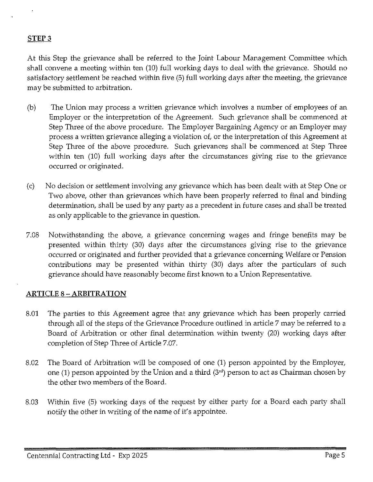#### **STEP3**

At this Step the grievance shall be referred to the Joint Labour Management Committee which shall convene a meeting within ten (10) full working days to deal with the grievance. Should no satisfactory settlement be reached within five (5) full working days after the meeting, the grievance may be submitted to arbitration.

- (b) The Union may process a written grievance which involves a number of employees of an Employer or the interpretation of the Agreement. Such grievance shall be commenced at Step Three of the above procedure. The Employer Bargaining Agency or an Employer may process a written grievance alleging a violation of, or the interpretation of this Agreement at Step Three of the above procedure. Such grievances shall be commenced at Step Three within ten (10) full working days after the circumstances giving rise to the grievance occurred or originated.
- (c) No decision or settlement involving any grievance which has been dealt with at Step One or Two above, other than grievances which have been properly referred to final and binding determination, shall be used by any party as a precedent in future cases and shall be treated as only applicable to the grievance in question.
- 7.08 Notwithstanding the above, a grievance concerning wages and fringe benefits may be presented within thirty (30) days after the circumstances giving rise to the grievance occurred or originated and further provided that a grievance concerning Welfare or Pension contributions may be presented within thirty (30) days after the particulars of such grievance should have reasonably become first known to a Union Representative.

#### **ARTICLE 8-ARBITRATION**

- 8.01 The parties to this Agreement agree that any grievance which has been properly carried through all of the steps of the Grievance Procedure outlined in article 7 may be referred to a Board of Arbitration or other final determination within twenty (20) working days after completion of Step Three of Article 7.07.
- 8.02 The Board of Arbitration will be composed of one (1) person appointed by the Employer, one (1) person appointed by the Union and a third (3'd) person to act as Chairman chosen by the other two members of the Board.
- 8.03 Within five (5) working days of the request by either party for a Board each party shall notify the other in writing of the name of it's appointee.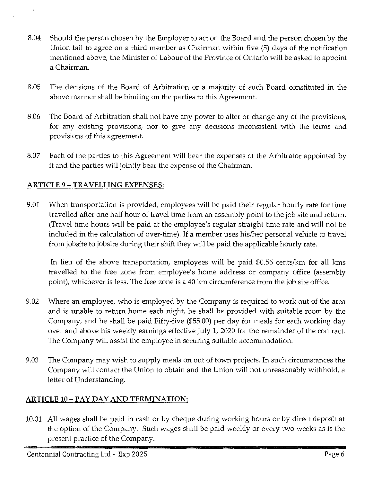- 8.04 Should the person chosen by the Employer to act on the Board and the person chosen by the Union fail to agree on a third member as Chairman within five (5) days of the notification mentioned above, the Minister of Labour of the Province of Ontario will be asked to appoint a Chairman.
- 8.05 The decisions of the Board of Arbitration or a majority of such Board constituted in the above manner shall be binding on the parties to this Agreement.
- 8.06 The Board of Arbitration shall not have any power to alter or change any of the provisions, for any existing provisions, nor to give any decisions inconsistent with the terms and provisions of this agreement.
- 8.07 Each of the parties to this Agreement will bear the expenses of the Arbitrator appointed by it and the parties will jointly bear the expense of the Chairman.

## **ARTICLE** 9 - **TRAVELLING EXPENSES:**

9.01 When transportation is provided, employees will be paid their regular hourly rate for time travelled after one half hour of travel time from an assembly point to the job site and return. (Travel time hours will be paid at the employee's regular straight time rate and will not be included in the calculation of over-time). If a member uses his/her personal vehicle to travel from jobsite to jobsite during their shift they will be paid the applicable hourly rate.

In lieu of the above transportation, employees will be paid \$0.56 cents/km for all kms travelled to the free zone from employee's home address or company office (assembly point), whichever is less. The free zone is a 40 km circumference from the job site office.

- 9.02 Where an employee, who is employed by the Company is required to work out of the area and is unable to return home each night, he shall be provided with suitable room by the Company, and he shall be paid Fifty-five (\$55.00) per day for meals for each working day over and above his weekly earnings effective July 1, 2020 for the remainder of the contract. The Company will assist the employee in securing suitable accommodation.
- 9.03 The Company may wish to supply meals on out of town projects. In such circumstances the Company will contact the Union to obtain and the Union will not unreasonably withhold, a letter of Understanding.

## **ARTICLE 10-PAYDAY AND TERMINATION:**

10.01 All wages shall be paid in cash or by cheque during working hours or by direct deposit at the option of the Company. Such wages shall be paid weekly or every two weeks as is the present practice of the Company.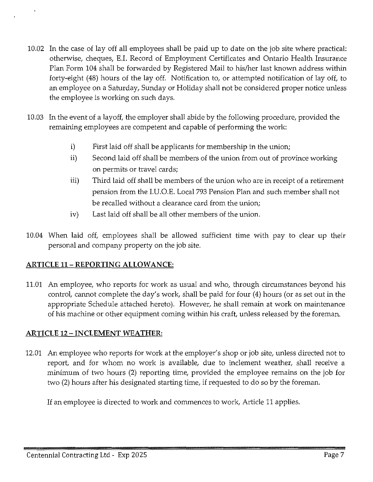- 10.02 In the case of lay off all employees shall be paid up to date on the job site where practical: otherwise, cheques, E.I. Record of Employment Certificates and Ontario Health Insurance Plan Form 104 shall be forwarded by Registered Mail to his/her last known address within forty-eight (48) hours of the lay off. Notification to, or attempted notification of lay off, to an employee on a Saturday, Sunday or Holiday shall not be considered proper notice unless the employee is working on such days.
- 10.03 In the event of a layoff, the employer shall abide by the following procedure, provided the remaining employees are competent and capable of performing the work:
	- i) First laid off shall be applicants for membership in the union;
	- ii) Second laid off shall be members of the union from out of province working on permits or travel cards;
	- iii) Third laid off shall be members of the union who are in receipt of a retirement pension from the I.U.O.E. Local 793 Pension Plan and such member shall not be recalled without a clearance card from the union;
	- iv) Last laid off shall be all other members of the union.
- 10.04 When laid off, employees shall be allowed sufficient time with pay to clear up their personal and company property on the job site.

## **ARTICLE 11- REPORTING ALLOWANCE:**

11.01 An employee, who reports for work as usual and who, through circumstances beyond his control, cannot complete the day's work, shall be paid for four (4) hours (or as set out in the appropriate Schedule attached hereto). However, he shall remain at work on maintenance of his machine or other equipment coming within his craft, unless released by the foreman.

## **ARTICLE 12 - INCLEMENT WEATHER:**

12.01 An employee who reports for work at the employer's shop or job site, unless directed not to report, and for whom no work is available, due to inclement weather, shall receive a minimum of two hours (2) reporting time, provided the employee remains on the job for two (2) hours after his designated starting time, if requested to do so by the foreman.

If an employee is directed to work and commences to work, Article 11 applies.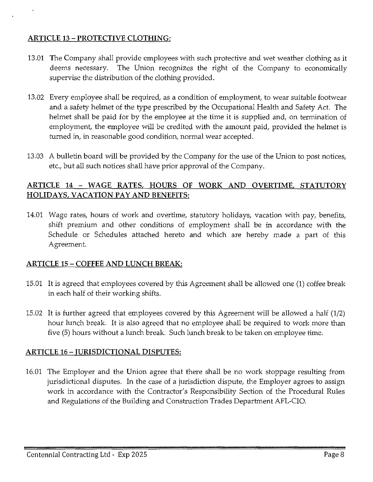### **ARTICLE 13 - PROTECTIVE CLOTHING:**

- 13.01 The Company shall provide employees with such protective and wet weather clothing as it deems necessary. The Union recognizes the right of the Company to economically supervise the distribution of the clothing provided.
- 13.02 Every employee shall be required, as a condition of employment, to wear suitable footwear and a safety helmet of the type prescribed by the Occupational Health and Safety Act. The helmet shall be paid for by the employee at the time it is supplied and, on termination of employment, the employee will be credited with the amount paid, provided the helmet is turned in, in reasonable good condition, normal wear accepted.
- 13.03 A bulletin board will be provided by the Company for the use of the Union to post notices, etc., but all such notices shall have prior approval of the Company.

## **ARTICLE 14 - WAGE RATES, HOURS OF WORK AND OVERTIME, STATUTORY HOLIDAYS, VACATION PAY AND BENEFITS:**

14.01 Wage rates, hours of work and overtime, statutory holidays, vacation with pay, benefits, shift premium and other conditions of employment shall be in accordance with the Schedule or Schedules attached hereto and which are hereby made a part of this Agreement.

#### **ARTICLE 15 - COFFEE AND LUNCH BREAK:**

- 15.01 It is agreed that employees covered by this Agreement shall be allowed one **(1)** coffee break in each half of their working shifts.
- 15.02 It is further agreed that employees covered by this Agreement wiil be allowed a half (1/2) hour lunch break. It is also agreed that no employee shall be required to work more than five (5) hours without a lunch break. Such lunch break to be taken on employee time.

## **ARTICLE 16 - JURISDICTIONAL DISPUTES:**

16.01 The Employer and the Union agree that there shall be no work stoppage resulting from jurisdictional disputes. In the case of a jurisdiction dispute, the Employer agrees to assign work in accordance with the Contractor's Responsibility Section of the Procedural Rules and Regulations of the Building and Construction Trades Department AFL-CIO.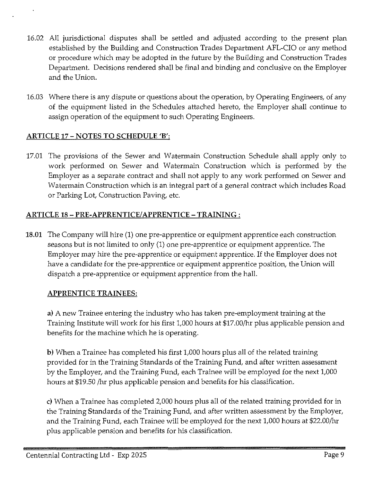- 16.02 All jurisdictional disputes shall be settled and adjusted according to the present plan established by the Building and Construction Trades Department AFL-CIO or any method or procedure which may be adopted in the future by the Building and Construction Trades Department. Decisions rendered shall be final and binding and conclusive on the Employer and the Union.
- 16.03 Where there is any dispute or questions about the operation, by Operating Engineers, of any of the equipment listed in the Schedules attached hereto, the Employer shall continue to assign operation of the equipment to such Operating Engineers.

## **ARTICLE 17 - NOTES TO SCHEDULE 'B':**

17.01 The provisions of the Sewer and Watermain Construction Schedule shall apply only to work performed on Sewer and Watermain Construction which is performed by the Employer as a separate contract and shall not apply to any work performed on Sewer and Watermain Construction which is an integral part of a general contract which includes Road or Parking Lot, Construction Paving, etc.

## **ARTICLE 18 - PRE-APPRENTICE/APPRENTICE-TRAINING:**

**18.01** The Company will hire (1) one pre-apprentice or equipment apprentice each construction seasons but is not limited to only (1) one pre-apprentice or equipment apprentice. The Employer may hire the pre-apprentice or equipment apprentice. If the Employer does not have a candidate for the pre-apprentice or equipment apprentice position, the Union will dispatch a pre-apprentice or equipment apprentice from the hall.

#### **APPRENTICE TRAINEES:**

**a)** A new Trainee entering the industry who has taken pre-employment training at the Training Institute will work for his first 1,000 hours at \$17.00/hr plus applicable pension and benefits for the machine which he is operating.

**b)** When a Trainee has completed his first 1,000 hours plus all of the related training provided for in the Training Standards of the Training Fund, and after written assessment by the Employer, and the Training Fund, each Trainee will be employed for the next 1,000 hours at \$19.50 /hr plus applicable pension and benefits for his classification.

c) When a Trainee has completed 2,000 hours plus all of the related training provided for in the Training Standards of the Training Fund, and after written assessment by the Employer, and the Training Fund, each Trainee will be employed for the next 1,000 hours at \$22.00/hr plus applicable pension and benefits for his classification.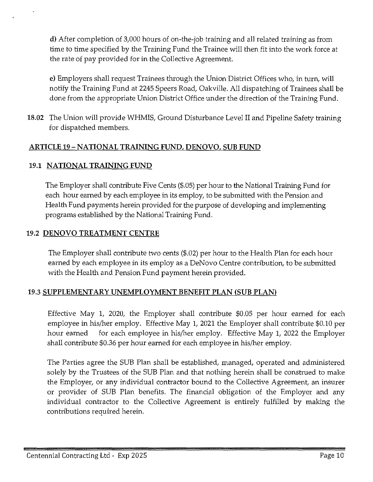d) After completion of 3,000 hours of on-the-job training and all related training as from time to time specified by the Training Fund the Trainee will then fit into the work force at the rate of pay provided for in the Collective Agreement.

e) Employers shall request Trainees through the Union District Offices who, in turn, will notify the Training Fund at 2245 Speers Road, Oakville. All dispatching of Trainees shall be done from the appropriate Union District Office under the direction of the Training Fund.

18.02 The Union will provide WHMIS, Ground Disturbance Level II and Pipeline Safety training for dispatched members.

## ARTICLE 19-NATIONAL TRAINING FUND, DENOVO, SUB FUND

#### 19.1 NATIONAL TRAINING FUND

The Employer shall contribute Five Cents (\$.05) per hour to the National Training Fund for each hour earned by each employee in its employ, to be submitted with the Pension and Health Fund payments herein provided for the purpose of developing and implementing programs established by the National Training Fund.

### 19.2 DENOVO TREATMENT CENTRE

The Employer shall contribute two cents (\$.02) per hour to the Health Plan for each hour earned by each employee in its employ as a DeNovo Centre contribution, to be submitted with the Health and Pension Fund payment herein provided.

## 19.3 SUPPLEMENTARY UNEMPLOYMENT BENEFIT PLAN (SUB PLAN)

Effective May 1, 2020, the Employer shall contribute \$0.05 per hour earned for each employee in his/her employ. Effective May 1, 2021 the Employer shall contribute \$0.10 per hour earned for each employee in his/her employ. Effective May 1, 2022 the Employer shall contribute \$0.36 per hour earned for each employee in his/her employ.

The Parties agree the SUB Plan shall be established, managed, operated and administered solely by the Trustees of the SUB Plan and that nothing herein shall be construed to make the Employer, or any individual contractor bound to the Collective Agreement, an insurer or provider of SUB Plan benefits. The financial obligation of the Employer and any individual contractor to the Collective Agreement is entirely fulfilled by making the contributions required herein.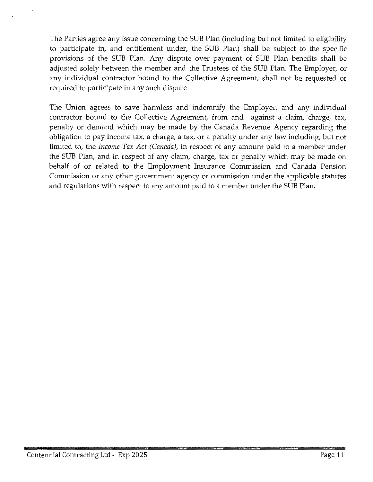The Parties agree any issue concerning the SUB Plan (including but not limited to eligibility to participate in, and entitlement under, the SUB Plan) shall be subject to the specific provisions of the SUB Plan. Any dispute over payment of SUB Plan benefits shall be adjusted solely between the member and the Trustees of the SUB Plan. The Employer, or any individual contractor bound to the Collective Agreement, shall not be requested or required to participate in any such dispute.

The Union agrees to save harmless and indemnify the Employer, and any individual contractor bound to the Collective Agreement, from and against a claim, charge, tax, penalty or demand which may be made by the Canada Revenue Agency regarding the obligation to pay income tax, a charge, a tax, or a penalty under any law including, but not limited to, the *Income Tax Act (Canada),* in respect of any amount paid to a member under the SUB Plan, and in respect of any claim, charge, tax or penalty which may be made on behalf of or related to the Employment Insurance Commission and Canada Pension Commission or any other government agency or commission under the applicable statutes and regulations with respect to any amount paid to a member under the SUB Plan.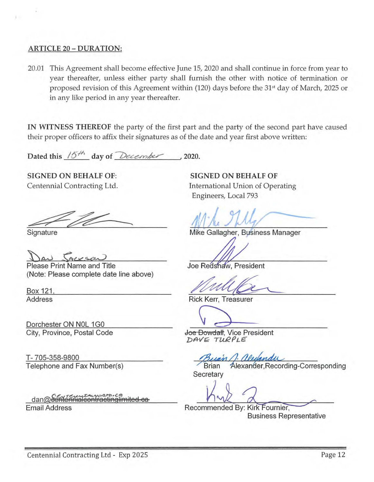#### ARTICLE 20 - DURATION:

20.01 This Agreement shall become effective June 15, 2020 and shall continue in force from year to year thereafter, unless either party shall furnish the other with notice of termination or proposed revision of this Agreement within (120) days before the 31<sup>st</sup> day of March, 2025 or in any like period in any year thereafter.

IN WITNESS THEREOF the party of the first part and the party of the second part have caused their proper officers to affix their signatures as of the date and year first above written:

Dated this  $15^{+6}$  day of December 2020.

SIGNED ON BEHALF OF: Centennial Contracting Ltd.

**Signature** 

Please Print Name and Title (Note: Please complete date line above)

Box 121 Address

Dorchester ON N0L 1G0 City, Province, Postal Code

T- 705-358-9800 Telephone and Fax Number(s)

dan@eente Email Address

SIGNED ON BEHALF OF International Union of Operating Engineers, Local 793

Mike Gallagher, Business Manager

Joe Redshaw, President

Welffeld<br>
K Kerr, Treasurer<br>
Dowdall, Vice President

Rick Kerr, Treasurer

Joe Dowdall, Vice President DAVE TURPLE

Alexander, Recording-Corresponding **Brian** Secretary

Recommended By: Kirk Fournier, Business Representative  $\overbrace{r}$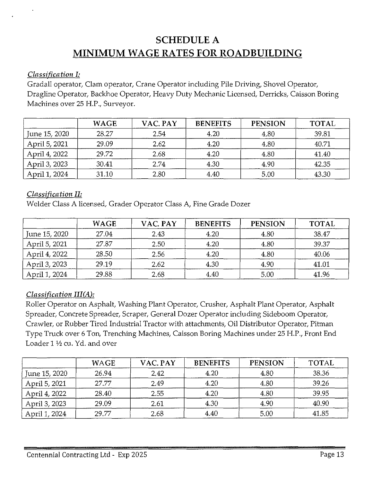## **SCHEDULE A MINIMUM WAGE RATES FOR ROADBUILDING**

#### *Classification I:*

Gradall operator, Clam operator, Crane Operator including Pile Driving, Shovel Operator, Dragline Operator, Backhoe Operator, Heavy Duty Mechanic Licensed, Derricks, Caisson Boring Machines over 25 H.P., Surveyor.

|               | <b>WAGE</b> | VAC. PAY | <b>BENEFITS</b> | <b>PENSION</b> | <b>TOTAL</b> |
|---------------|-------------|----------|-----------------|----------------|--------------|
| June 15, 2020 | 28.27       | 2.54     | 4.20            | 4.80           | 39.81        |
| April 5, 2021 | 29.09       | 2.62     | 4.20            | 4.80           | 40.71        |
| April 4, 2022 | 29.72       | 2.68     | 4.20            | 4.80           | 41.40        |
| April 3, 2023 | 30.41       | 2.74     | 4.30            | 4.90           | 42.35        |
| April 1, 2024 | 31.10       | 2.80     | 4.40            | 5.00           | 43.30        |

### *Classification II:*

Welder Class A licensed, Grader Operator Class A, Fine Grade Dozer

|               | <b>WAGE</b> | VAC. PAY | <b>BENEFITS</b> | <b>PENSION</b> | <b>TOTAL</b> |
|---------------|-------------|----------|-----------------|----------------|--------------|
| June 15, 2020 | 27.04       | 2.43     | 4.20            | 4.80           | 38.47        |
| April 5, 2021 | 27.87       | 2.50     | 4.20            | 4.80           | 39.37        |
| April 4, 2022 | 28.50       | 2.56     | 4.20            | 4.80           | 40.06        |
| April 3, 2023 | 29.19       | 2.62     | 4.30            | 4.90           | 41.01        |
| April 1, 2024 | 29.88       | 2.68     | 4.40            | 5.00           | 41.96        |

## *Classification III(A):*

Roller Operator on Asphalt, Washing Plant Operator, Crusher, Asphalt Plant Operator, Asphalt Spreader, Concrete Spreader, Scraper, General Dozer Operator including Sideboom Operator, Crawler, or Rubber Tired Industrial Tractor with attachments, Oil Distributor Operator, Pitman Type Truck over 6 Ton, Trenching Machines, Caisson Boring Machines under 25 H.P., Front End Loader 1 1/2 cu. Yd. and over

|               | WAGE  | VAC. PAY | <b>BENEFITS</b> | <b>PENSION</b> | <b>TOTAL</b> |
|---------------|-------|----------|-----------------|----------------|--------------|
| June 15, 2020 | 26.94 | 2.42     | 4.20            | 4.80           | 38.36        |
| April 5, 2021 | 27.77 | 2.49     | 4.20            | 4.80           | 39.26        |
| April 4, 2022 | 28.40 | 2.55     | 4.20            | 4.80           | 39.95        |
| April 3, 2023 | 29.09 | 2.61     | 4.30            | 4.90           | 40.90        |
| April 1, 2024 | 29.77 | 2.68     | 4.40            | 5.00           | 41.85        |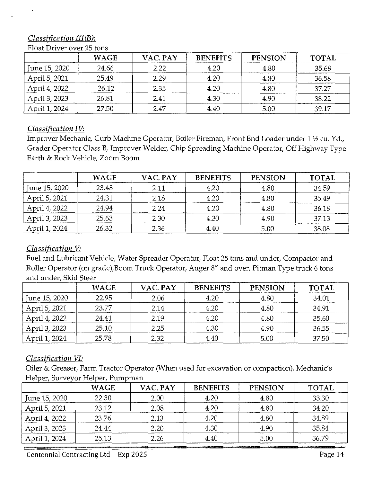## *Classification III(B):*

|               | <b>WAGE</b> | VAC. PAY | <b>BENEFITS</b> | <b>PENSION</b> | <b>TOTAL</b> |
|---------------|-------------|----------|-----------------|----------------|--------------|
| June 15, 2020 | 24.66       | 2.22     | 4.20            | 4.80           | 35.68        |
| April 5, 2021 | 25.49       | 2.29     | 4.20            | 4.80           | 36.58        |
| April 4, 2022 | 26.12       | 2.35     | 4.20            | 4.80           | 37.27        |
| April 3, 2023 | 26.81       | 2.41     | 4.30            | 4.90           | 38.22        |
| April 1, 2024 | 27.50       | 2.47     | 4.40            | 5.00           | 39.17        |

Float Driver over 25 tons

## *Classification IV:*

Improver Mechanic, Curb Machine Operator, Boiler Fireman, Front End Loader under 1 ½ cu. Yd., Grader Operator Class B, Improver Welder, Chip Spreading Machine Operator, Off Highway Type Earth & Rock Vehicle, Zoom Boom

|               | <b>WAGE</b> | VAC. PAY | <b>BENEFITS</b> | <b>PENSION</b> | <b>TOTAL</b> |
|---------------|-------------|----------|-----------------|----------------|--------------|
| June 15, 2020 | 23.48       | 2.11     | 4.20            | 4.80           | 34.59        |
| April 5, 2021 | 24.31       | 2.18     | 4.20            | 4.80           | 35.49        |
| April 4, 2022 | 24.94       | 2.24     | 4.20            | 4.80           | 36.18        |
| April 3, 2023 | 25.63       | 2.30     | 4.30            | 4.90           | 37.13        |
| April 1, 2024 | 26.32       | 2.36     | 4.40            | 5.00           | 38.08        |

## *Classification V:*

Fuel and Lubricant Vehicle, Water Spreader Operator, Float 25 tons and under, Compactor and Roller Operator (on grade),Boom Truck Operator, Auger 8" and over, Pitman Type truck 6 tons and under, Skid Steer

|               | <b>WAGE</b> | VAC. PAY | <b>BENEFITS</b> | <b>PENSION</b> | <b>TOTAL</b> |
|---------------|-------------|----------|-----------------|----------------|--------------|
| June 15, 2020 | 22.95       | 2.06     | 4.20            | 4.80           | 34.01        |
| April 5, 2021 | 23.77       | 2.14     | 4.20            | 4.80           | 34.91        |
| April 4, 2022 | 24.41       | 2.19     | 4.20            | 4.80           | 35.60        |
| April 3, 2023 | 25.10       | 2.25     | 4.30            | 4.90           | 36.55        |
| April 1, 2024 | 25.78       | 2.32     | 4.40            | 5.00           | 37.50        |

## *Classification VI:*

Oiler & Greaser, Farm Tractor Operator (When used for excavation or compaction), Mechanic's Helper, Surveyor Helper, Pumpman

|               | <b>WAGE</b> | VAC. PAY | <b>BENEFITS</b> | <b>PENSION</b> | <b>TOTAL</b> |
|---------------|-------------|----------|-----------------|----------------|--------------|
| June 15, 2020 | 22.30       | 2.00     | 4.20            | 4.80           | 33.30        |
| April 5, 2021 | 23.12       | 2.08     | 4.20            | 4.80           | 34.20        |
| April 4, 2022 | 23.76       | 2.13     | 4.20            | 4.80           | 34.89        |
| April 3, 2023 | 24.44       | 2.20     | 4.30            | 4.90           | 35.84        |
| April 1, 2024 | 25.13       | 2.26     | 4.40            | 5.00           | 36.79        |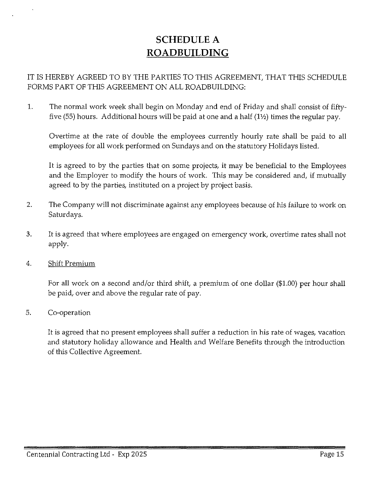## **SCHEDULE** A **ROADBUILDING**

## IT IS HEREBY AGREED TO BY THE PARTIES TO THIS AGREEMENT, THAT THIS SCHEDULE FORMS PART OF THIS AGREEMENT ON ALL ROADBUILDING:

1. The normal work week shall begin on Monday and end of Friday and shall consist of fiftyfive (55) hours. Additional hours will be paid at one and a half  $(1<sup>1</sup>/<sub>2</sub>)$  times the regular pay.

Overtime at the rate of double the employees currently hourly rate shall be paid to all employees for all work performed on Sundays and on the statutory Holidays listed.

It is agreed to by the parties that on some projects, it may be beneficial to the Employees and the Employer to modify the hours of work. This may be considered and, if mutually agreed to by the parties, instituted on a project by project basis.

- 2. The Company will not discriminate against any employees because of his failure to work on Saturdays.
- 3. It is agreed that where employees are engaged on emergency work, overtime rates shall not apply.
- 4. Shift Premium

For all work on a second and/or third shift, a premium of one dollar (\$1.00) per hour shall be paid, over and above the regular rate of pay.

5. Co-operation

It is agreed that no present employees shall suffer a reduction in his rate of wages, vacation and statutory holiday allowance and Health and Welfare Benefits through the introduction of this Collective Agreement.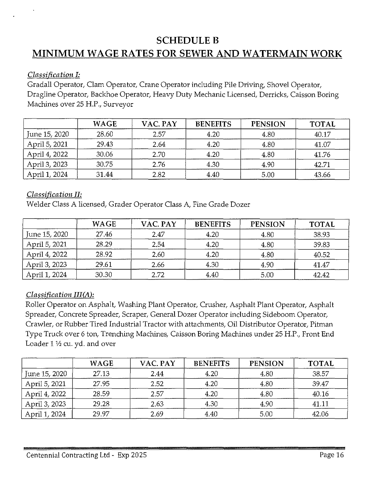## **SCHEDULE B** MINIMUM WAGE RATES FOR SEWER AND WATERMAIN WORK

### *Classification I:*

Gradall Operator, Clam Operator, Crane Operator including Pile Driving, Shovel Operator, Dragline Operator, Backhoe Operator, Heavy Duty Mechanic Licensed, Derricks, Caisson Boring Machines over 25 H.P., Surveyor

|               | <b>WAGE</b> | VAC. PAY | <b>BENEFITS</b> | <b>PENSION</b> | <b>TOTAL</b> |
|---------------|-------------|----------|-----------------|----------------|--------------|
| June 15, 2020 | 28.60       | 2.57     | 4.20            | 4.80           | 40.17        |
| April 5, 2021 | 29.43       | 2.64     | 4.20            | 4.80           | 41.07        |
| April 4, 2022 | 30.06       | 2.70     | 4.20            | 4.80           | 41.76        |
| April 3, 2023 | 30.75       | 2.76     | 4.30            | 4.90           | 42.71        |
| April 1, 2024 | 31.44       | 2.82     | 4.40            | 5.00           | 43.66        |

### *Classification II:*

Welder Class A licensed, Grader Operator Class A, Fine Grade Dozer

|               | <b>WAGE</b> | VAC. PAY | <b>BENEFITS</b> | <b>PENSION</b> | <b>TOTAL</b> |
|---------------|-------------|----------|-----------------|----------------|--------------|
| June 15, 2020 | 27.46       | 2.47     | 4.20            | 4.80           | 38.93        |
| April 5, 2021 | 28.29       | 2.54     | 4.20            | 4.80           | 39.83        |
| April 4, 2022 | 28.92       | 2.60     | 4.20            | 4.80           | 40.52        |
| April 3, 2023 | 29.61       | 2.66     | 4.30            | 4.90           | 41.47        |
| April 1, 2024 | 30.30       | 2.72     | 4.40            | 5.00           | 42.42        |

## *Classification III(A):*

Roller Operator on Asphalt, Washing Plant Operator, Crusher, Asphalt Plant Operator, Asphalt Spreader, Concrete Spreader, Scraper, General Dozer Operator including Sideboom Operator, Crawler, or Rubber Tired Industrial Tractor with attachments, Oil Distributor Operator, Pitman Type Truck over 6 ton, Trenching Machines, Caisson Boring Machines under 25 H.P., Front End Loader  $1\frac{1}{2}$  cu. yd. and over

|               | <b>WAGE</b> | VAC. PAY | <b>BENEFITS</b> | <b>PENSION</b> | <b>TOTAL</b> |
|---------------|-------------|----------|-----------------|----------------|--------------|
| June 15, 2020 | 27.13       | 2.44     | 4.20            | 4.80           | 38.57        |
| April 5, 2021 | 27.95       | 2.52     | 4.20            | 4.80           | 39.47        |
| April 4, 2022 | 28.59       | 2.57     | 4.20            | 4.80           | 40.16        |
| April 3, 2023 | 29.28       | 2.63     | 4.30            | 4.90           | 41.11        |
| April 1, 2024 | 29.97       | 2.69     | 4.40            | 5.00           | 42.06        |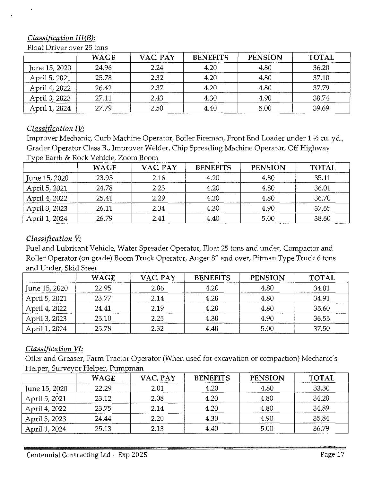## *Classification III(B):*

|               | <b>WAGE</b> | VAC. PAY | <b>BENEFITS</b> | <b>PENSION</b> | <b>TOTAL</b> |
|---------------|-------------|----------|-----------------|----------------|--------------|
| June 15, 2020 | 24.96       | 2.24     | 4.20            | 4.80           | 36.20        |
| April 5, 2021 | 25.78       | 2.32     | 4.20            | 4.80           | 37.10        |
| April 4, 2022 | 26.42       | 2.37     | 4.20            | 4.80           | 37.79        |
| April 3, 2023 | 27.11       | 2.43     | 4.30            | 4.90           | 38.74        |
| April 1, 2024 | 27.79       | 2.50     | 4.40            | 5.00           | 39.69        |

Float Driver over 25 tons

## *Classification IV:*

Improver Mechanic, Curb Machine Operator, Boiler Fireman, Front End Loader under 1 ½ cu. yd., Grader Operator Class B., Improver Welder, Chip Spreading Machine Operator, Off Highway Type Earth & Rock Vehicle, Zoom Boom

|               | <b>WAGE</b> | VAC. PAY | <b>BENEFITS</b> | <b>PENSION</b> | <b>TOTAL</b> |
|---------------|-------------|----------|-----------------|----------------|--------------|
| June 15, 2020 | 23.95       | 2.16     | 4.20            | 4.80           | 35.11        |
| April 5, 2021 | 24.78       | 2.23     | 4.20            | 4.80           | 36.01        |
| April 4, 2022 | 25.41       | 2.29     | 4.20            | 4.80           | 36.70        |
| April 3, 2023 | 26.11       | 2.34     | 4.30            | 4.90           | 37.65        |
| April 1, 2024 | 26.79       | 2.41     | 4.40            | 5.00           | 38.60        |

## *Classification V:*

Fuel and Lubricant Vehicle, Water Spreader Operator, Float 25 tons and under, Compactor and Roller Operator (on grade) Boom Truck Operator, Auger 8" and over, Pitman Type Truck 6 tons and Under, Skid Steer

|               | <b>WAGE</b> | VAC. PAY | <b>BENEFITS</b> | <b>PENSION</b> | <b>TOTAL</b> |
|---------------|-------------|----------|-----------------|----------------|--------------|
| June 15, 2020 | 22.95       | 2.06     | 4.20            | 4.80           | 34.01        |
| April 5, 2021 | 23.77       | 2.14     | 4.20            | 4.80           | 34.91        |
| April 4, 2022 | 24.41       | 2.19     | 4.20            | 4.80           | 35.60        |
| April 3, 2023 | 25.10       | 2.25     | 4.30            | 4.90           | 36.55        |
| April 1, 2024 | 25.78       | 2.32     | 4.40            | 5.00           | 37.50        |

## *Classification VI:*

Oiler and Greaser, Farm Tractor Operator (When used for excavation or compaction) Mechanic's Helper, Surveyor Helper, Pumpman

|               | <b>WAGE</b> | VAC. PAY | <b>BENEFITS</b> | <b>PENSION</b> | <b>TOTAL</b> |
|---------------|-------------|----------|-----------------|----------------|--------------|
| June 15, 2020 | 22.29       | 2.01     | 4.20            | 4.80           | 33.30        |
| April 5, 2021 | 23.12       | 2.08     | 4.20            | 4.80           | 34.20        |
| April 4, 2022 | 23.75       | 2.14     | 4.20            | 4.80           | 34.89        |
| April 3, 2023 | 24.44       | 2.20     | 4.30            | 4.90           | 35.84        |
| April 1, 2024 | 25.13       | 2.13     | 4.40            | 5.00           | 36.79        |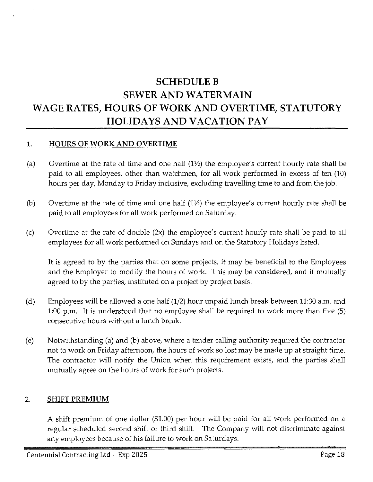## **SCHEDULEB SEWER AND WATERMAIN WAGE RATES, HOURS OF WORK AND OVERTIME, STATUTORY HOLIDAYS AND VACATION PAY**

#### **1. HOURS OF WORK AND OVERTIME**

- (a) Overtime at the rate of time and one half  $(1/2)$  the employee's current hourly rate shall be paid to all employees, other than watchmen, for all work performed in excess of ten (10) hours per day, Monday to Friday inclusive, excluding travelling time to and from the job.
- (b) Overtime at the rate of time and one half  $(1<sup>1</sup>/<sub>2</sub>)$  the employee's current hourly rate shall be paid to all employees for all work performed on Saturday.
- (c) Overtime at the rate of double (2x) the employee's current hourly rate shall be paid to all employees for all work performed on Sundays and on the Statutory Holidays listed.

It is agreed to by the parties that on some projects, it may be beneficial to the Employees and the Employer to modify the hours of work. This may be considered, and if mutually agreed to by the parties, instituted on a project by project basis.

- (d) Employees will be allowed a one half (1/2) hour unpaid lunch break between 11:30 a.m. and 1:00 p.m. It is understood that no employee shall be required to work more than five (5) consecutive hours without a lunch break.
- (e) Notwithstanding (a) and (b) above, where a tender calling authority required the contractor not to work on Friday afternoon, the hours of work so lost may be made up at straight time. The contractor will notify the Union when this requirement exists, and the parties shall mutually agree on the hours of work for such projects.

#### 2. **SHIFT PREMIUM**

A shift premium of one dollar (\$1.00) per hour will be paid for all work performed on a regular scheduled second shift or third shift. The Company will not discriminate against any employees because of his failure to work on Saturdays.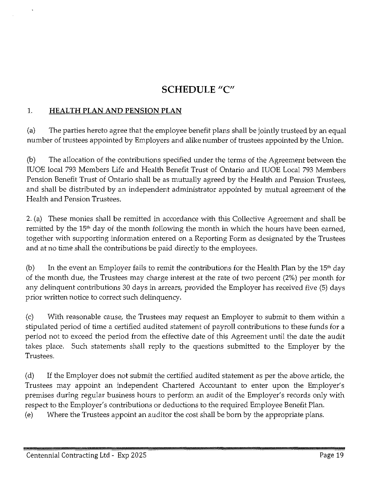## **SCHEDULE "C"**

## 1. **HEALTH PLAN AND PENSION PLAN**

(a) The parties hereto agree that the employee benefit plans shall be jointly trusteed by an equal number of trustees appointed by Employers and alike number of trustees appointed by the Union.

(b) The allocation of the contributions specified under the terms of the Agreement between the IUOE local 793 Members Life and Health Benefit Trust of Ontario and IUOE Local 793 Members Pension Benefit Trust of Ontario shall be as mutually agreed by the Health and Pension Trustees, and shall be distributed by an independent administrator appointed by mutual agreement of the Health and Pension Trustees.

2. (a) These monies shall be remitted in accordance with this Collective Agreement and shall be remitted by the 15<sup>th</sup> day of the month following the month in which the hours have been earned, together with supporting information entered on a Reporting Form as designated by the Trustees and at no time shall the contributions be paid directly to the employees.

(b) In the event an Employer fails to remit the contributions for the Health Plan by the 15<sup>th</sup> day of the month due, the Trustees may charge interest at the rate of two percent (2%) per month for any delinquent contributions 30 days in arrears, provided the Employer has received five (5) days prior written notice to correct such delinquency.

(c) With reasonable cause, the Trustees may request an Employer to submit to them within a stipulated period of time a certified audited statement of payroll contributions to these funds for a period not to exceed the period from the effective date of this Agreement until the date the audit takes place. Such statements shall reply to the questions submitted to the Employer by the Trustees.

( d) If the Employer does not submit the certified audited statement as per the above article, the Trustees may appoint an independent Chartered Accountant to enter upon the Employer's premises during regular business hours to perform an audit of the Employer's records only with respect to the Employer's contributions or deductions to the required Employee Benefit Plan. (e) Where the Trustees appoint an auditor the cost shall be born by the appropriate plans.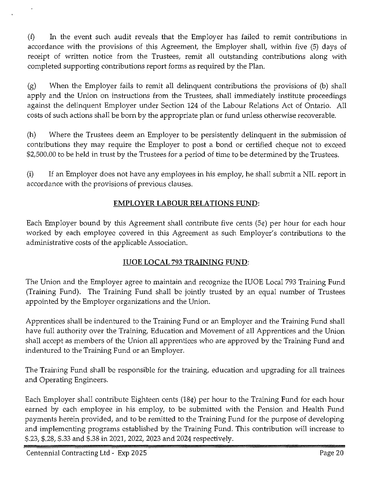(f) In the event such audit reveals that the Employer has failed to remit contributions in accordance with the provisions of this Agreement, the Employer shall, within five (5) days of receipt of written notice from the Trustees, remit all outstanding contributions along with completed supporting contributions report forms as required by the Plan.

(g) When the Employer fails to remit all delinquent contributions the provisions of (b) shall apply and the Union on instructions from the Trustees, shall immediately institute proceedings against the delinquent Employer under Section 124 of the Labour Relations Act of Ontario. All costs of such actions shall be born by the appropriate plan or fund unless otherwise recoverable.

(h) Where the Trustees deem an Employer to be persistently delinquent in the submission of contributions they may require the Employer to post a bond or certified cheque not to exceed \$2,500.00 to be held in trust by the Trustees for a period of time to be determined by the Trustees.

(i) If an Employer does not have any employees in his employ, he shall submit a NIL report in accordance with the provisions of previous clauses.

## **EMPLOYER LABOUR RELATIONS FUND:**

Each Employer bound by this Agreement shall contribute five cents (5¢) per hour for each hour worked by each employee covered in this Agreement as such Employer's contributions to the administrative costs of the applicable Association.

## **IUOE LOCAL** 793 **TRAINING FUND:**

The Union and the Employer agree to maintain and recognize the IUOE Local 793 Training Fund (Training Fund). The Training Fund shall be jointly trusted by an equal number of Trustees appointed by the Employer organizations and the Union.

Apprentices shall be indentured to the Training Fund or an Employer and the Training Fund shall have full authority over the Training, Education and Movement of all Apprentices and the Union shall accept as members of the Union all apprentices who are approved by the Training Fund and indentured to the Training Fund or an Employer.

The Training Fund shall be responsible for the training, education and upgrading for all trainees and Operating Engineers.

Each Employer shall contribute Eighteen cents (18¢) per hour to the Training Fund for each hour earned by each employee in his employ, to be submitted with the Pension and Health Fund payments herein provided, and to be remitted to the Training Fund for the purpose of developing and implementing programs established by the Training Fund. This contribution will increase to \$.23, \$.28, \$.33 and \$.38 in 2021, 2022, 2023 and 2024 respectively.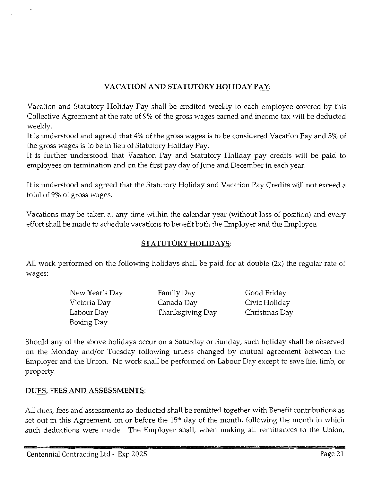## VACATION AND STATUTORY HOLIDAY PAY:

Vacation and Statutory Holiday Pay shall be credited weekly to each employee covered by this Collective Agreement at the rate of 9% of the gross wages earned and income tax will be deducted weekly.

It is understood and agreed that 4% of the gross wages is to be considered Vacation Pay and 5% of the gross wages is to be in lieu of Statutory Holiday Pay.

It is further understood that Vacation Pay and Statutory Holiday pay credits will be paid to employees on termination and on the first pay day of June and December in each year.

It is understood and agreed that the Statutory Holiday and Vacation Pay Credits will not exceed a total of 9% of gross wages.

Vacations may be taken at any time within the calendar year (without loss of position) and every effort shall be made to schedule vacations to benefit both the Employer and the Employee.

## STATUTORY HOLIDAYS:

All work performed on the following holidays shall be paid for at double (2x) the regular rate of wages:

| New Year's Day | Family Day       | Good Friday   |
|----------------|------------------|---------------|
| Victoria Day   | Canada Day       | Civic Holiday |
| Labour Day     | Thanksgiving Day | Christmas Day |
| Boxing Day     |                  |               |

Should any of the above holidays occur on a Saturday or Sunday, such holiday shall be observed on the Monday and/or Tuesday following unless changed by mutual agreement between the Employer and the Union. No work shall be performed on Labour Day except to save life, limb, or property.

## DUES, FEES AND ASSESSMENTS:

All dues, fees and assessments so deducted shall be remitted together with Benefit contributions as set out in this Agreement, on or before the 15<sup>th</sup> day of the month, following the month in which such deductions were made. The Employer shall, when making all remittances to the Union,